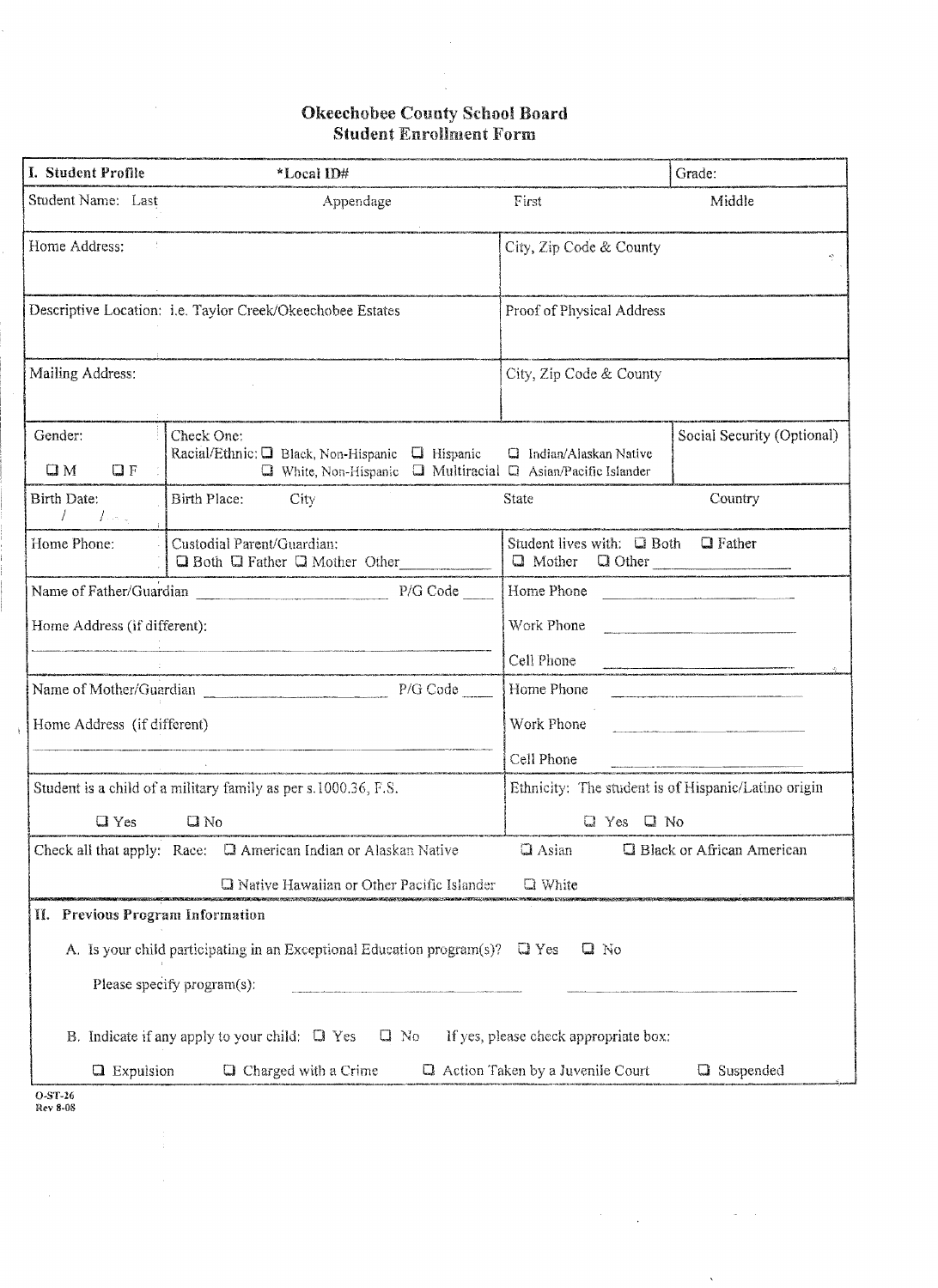## Okeechobee County School Board Student Enrollment Form

 $\hat{\mathbf{v}}$ 

| I. Student Profile                        | *Local ID#                                                                                                                                                                                                                                                   |                                                     | Grade:                                                                                                                                                                                                                               |
|-------------------------------------------|--------------------------------------------------------------------------------------------------------------------------------------------------------------------------------------------------------------------------------------------------------------|-----------------------------------------------------|--------------------------------------------------------------------------------------------------------------------------------------------------------------------------------------------------------------------------------------|
| Student Name: Last                        | Appendage                                                                                                                                                                                                                                                    | First                                               | Middle                                                                                                                                                                                                                               |
| Home Address:                             |                                                                                                                                                                                                                                                              | City, Zip Code & County                             |                                                                                                                                                                                                                                      |
|                                           | Descriptive Location: i.e. Taylor Creek/Okeechobee Estates                                                                                                                                                                                                   | Proof of Physical Address                           |                                                                                                                                                                                                                                      |
| Mailing Address:                          |                                                                                                                                                                                                                                                              | City, Zip Code & County                             |                                                                                                                                                                                                                                      |
| Gender:<br>QF<br>$\square M$              | Check One:<br>Racial/Ethnic: $\Box$ Black, Non-Hispanic $\Box$ Hispanic<br>$\Box$ White, Non-Hispanic $\Box$ Multiracial $\Box$ Asian/Pacific Islander                                                                                                       | <b>Q</b> Indian/Alaskan Native                      | Social Security (Optional)                                                                                                                                                                                                           |
| Birth Date:<br>$\prime$<br>$I_{\rm{max}}$ | Birth Place:<br>City                                                                                                                                                                                                                                         | <b>State</b>                                        | Country                                                                                                                                                                                                                              |
| Home Phone:                               | Custodial Parent/Guardian:<br>Q Both Q Father Q Mother Other Collection and Q Mother Q Other Collection and Q Father Q Other Collection and Q Both Q Other Collection and Q Both Q Other Collection and Q Both Q Other Collection and Q Both Q D Other Colle | Student lives with: <b>Q</b> Both                   | $\Box$ Father                                                                                                                                                                                                                        |
|                                           |                                                                                                                                                                                                                                                              | Home Phone                                          |                                                                                                                                                                                                                                      |
| Home Address (if different):              |                                                                                                                                                                                                                                                              | Work Phone                                          |                                                                                                                                                                                                                                      |
|                                           |                                                                                                                                                                                                                                                              | Cell Phone                                          | .<br>1984: Princip vanne saama aasta eesti teetjinaa saamaa meessa maasta teetjina saaraa maaruu maaruu teetjina m<br>1984: Principerinti ringan dagan min saaban daga saan kinimaastas maarin mine mine mine mine mine kiribi tee M |
|                                           |                                                                                                                                                                                                                                                              | Home Phone                                          |                                                                                                                                                                                                                                      |
| Home Address (if different)               |                                                                                                                                                                                                                                                              | Work Phone                                          |                                                                                                                                                                                                                                      |
|                                           |                                                                                                                                                                                                                                                              | Cell Phone                                          | .<br>1980-1994: Johannes J. H. The Monday and Line (1999-1998), and the Company of the Company and Sections and Com                                                                                                                  |
|                                           | Student is a child of a military family as per s.1000.36, F.S.                                                                                                                                                                                               | Ethnicity: The student is of Hispanic/Latino origin |                                                                                                                                                                                                                                      |
| QYes                                      | $Q$ No                                                                                                                                                                                                                                                       | $Q$ Yes $Q$ No                                      |                                                                                                                                                                                                                                      |
|                                           | Check all that apply: Race: <b>Q</b> American Indian or Alaskan Native                                                                                                                                                                                       | Q Asian                                             | <b>Q</b> Black or African American                                                                                                                                                                                                   |
|                                           | <b>Q</b> Native Hawaiian or Other Pacific Islander                                                                                                                                                                                                           | <b>Q</b> White                                      |                                                                                                                                                                                                                                      |
| II. Previous Program Information          |                                                                                                                                                                                                                                                              |                                                     |                                                                                                                                                                                                                                      |
|                                           | A. Is your child participating in an Exceptional Education program $(s)$ ? $\Box$ Yes                                                                                                                                                                        | $\square$ No                                        |                                                                                                                                                                                                                                      |
|                                           | Please specify program(s):                                                                                                                                                                                                                                   |                                                     |                                                                                                                                                                                                                                      |
|                                           | B. Indicate if any apply to your child: $\Box$ Yes<br>$\square$ No                                                                                                                                                                                           | If yes, please check appropriate box:               |                                                                                                                                                                                                                                      |
| $\Box$ Expulsion                          | <b>Q</b> Charged with a Crime                                                                                                                                                                                                                                | Q Action Taken by a Juvenile Court                  | Q Suspended                                                                                                                                                                                                                          |

 $\label{eq:2.1} \frac{1}{\sqrt{2}}\sum_{i=1}^n\frac{1}{\sqrt{2}}\sum_{i=1}^n\frac{1}{\sqrt{2}}\sum_{i=1}^n\frac{1}{\sqrt{2}}\sum_{i=1}^n\frac{1}{\sqrt{2}}\sum_{i=1}^n\frac{1}{\sqrt{2}}\sum_{i=1}^n\frac{1}{\sqrt{2}}\sum_{i=1}^n\frac{1}{\sqrt{2}}\sum_{i=1}^n\frac{1}{\sqrt{2}}\sum_{i=1}^n\frac{1}{\sqrt{2}}\sum_{i=1}^n\frac{1}{\sqrt{2}}\sum_{i=1}^n\frac$ 

 $\omega_{\rm{eff}}$ 

 $\ddot{\phantom{0}}$ 

O·ST·26 Rev 8.08

 $\hat{\mathcal{L}}$